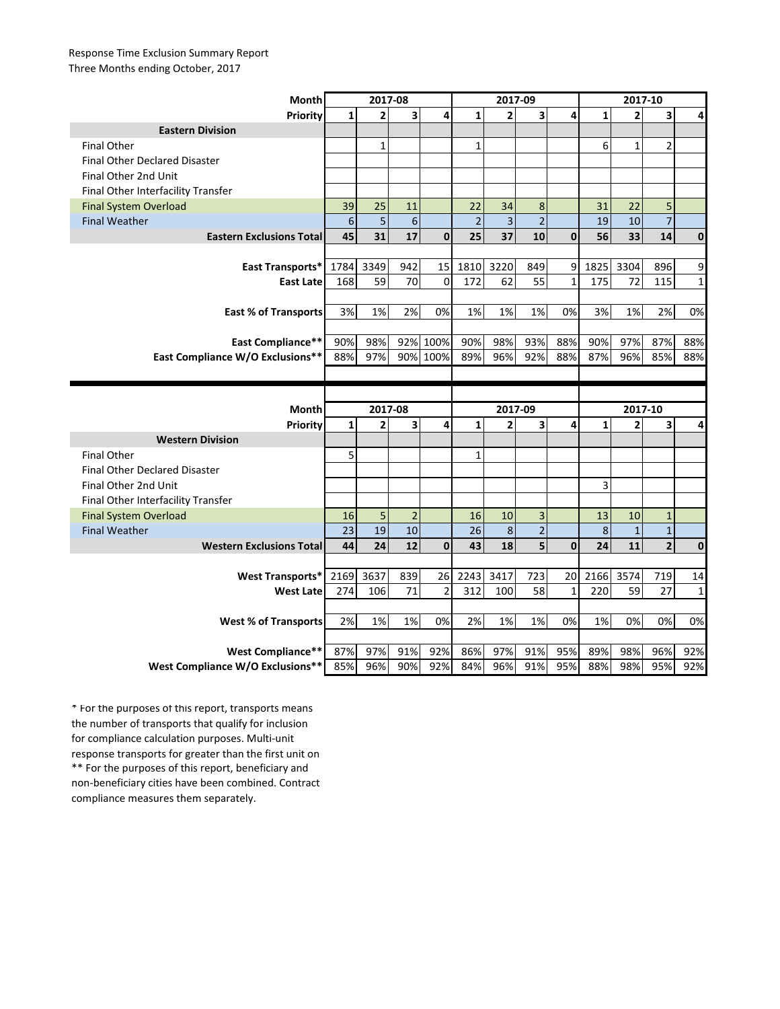## Response Time Exclusion Summary Report Three Months ending October, 2017

| Month                                                 | 2017-08        |                |                         |                | 2017-09        |                |                         |              | 2017-10      |                |                         |              |
|-------------------------------------------------------|----------------|----------------|-------------------------|----------------|----------------|----------------|-------------------------|--------------|--------------|----------------|-------------------------|--------------|
| Priority                                              | 1              | $\overline{2}$ | $\overline{\mathbf{3}}$ | 4              | $\mathbf{1}$   | $\overline{2}$ | 3                       | 4            | $\mathbf{1}$ | $\overline{2}$ | 3                       | 4            |
| <b>Eastern Division</b>                               |                |                |                         |                |                |                |                         |              |              |                |                         |              |
| <b>Final Other</b>                                    |                | $\mathbf{1}$   |                         |                | $\mathbf{1}$   |                |                         |              | 6            | $\mathbf{1}$   | 2                       |              |
| <b>Final Other Declared Disaster</b>                  |                |                |                         |                |                |                |                         |              |              |                |                         |              |
| Final Other 2nd Unit                                  |                |                |                         |                |                |                |                         |              |              |                |                         |              |
| Final Other Interfacility Transfer                    |                |                |                         |                |                |                |                         |              |              |                |                         |              |
| <b>Final System Overload</b>                          | 39             | 25             | 11                      |                | 22             | 34             | 8                       |              | 31           | 22             | 5                       |              |
| <b>Final Weather</b>                                  | $6\phantom{1}$ | 5              | 6                       |                | $\overline{2}$ | $\overline{3}$ | $\overline{2}$          |              | 19           | 10             | $\overline{7}$          |              |
| <b>Eastern Exclusions Total</b>                       | 45             | 31             | 17                      | $\mathbf{0}$   | 25             | 37             | 10                      | $\mathbf{0}$ | 56           | 33             | 14                      | $\mathbf 0$  |
|                                                       |                |                |                         |                |                |                |                         |              |              |                |                         |              |
| East Transports*                                      | 1784           | 3349           | 942                     | 15             | 1810           | 3220           | 849                     | 9            | 1825         | 3304           | 896                     | 9            |
| <b>East Late</b>                                      | 168            | 59             | 70                      | $\mathbf{0}$   | 172            | 62             | 55                      | $\mathbf{1}$ | 175          | 72             | 115                     | $\mathbf{1}$ |
|                                                       |                |                |                         |                |                |                |                         |              |              |                |                         |              |
| <b>East % of Transports</b>                           | 3%             | 1%             | 2%                      | 0%             | 1%             | 1%             | 1%                      | 0%           | 3%           | 1%             | 2%                      | 0%           |
|                                                       |                |                |                         |                |                |                |                         |              |              |                |                         |              |
| <b>East Compliance**</b>                              | 90%            | 98%            |                         | 92% 100%       | 90%            | 98%            | 93%                     | 88%          | 90%          | 97%            | 87%                     | 88%          |
| East Compliance W/O Exclusions**                      | 88%            | 97%            |                         | 90% 100%       | 89%            | 96%            | 92%                     | 88%          | 87%          | 96%            | 85%                     | 88%          |
|                                                       |                |                |                         |                |                |                |                         |              |              |                |                         |              |
|                                                       |                |                |                         |                |                |                |                         |              |              |                |                         |              |
|                                                       |                |                |                         |                |                |                |                         |              |              |                |                         |              |
| Month                                                 |                | 2017-08        |                         |                |                | 2017-09        |                         |              |              | 2017-10        |                         |              |
| Priority                                              | $\mathbf{1}$   | $\overline{2}$ | 3                       | 4              | $\mathbf{1}$   | $\overline{2}$ | 3                       | 4            | $\mathbf{1}$ | 2              | 3                       | 4            |
| <b>Western Division</b>                               |                |                |                         |                |                |                |                         |              |              |                |                         |              |
| <b>Final Other</b>                                    | 5              |                |                         |                | $\mathbf{1}$   |                |                         |              |              |                |                         |              |
| <b>Final Other Declared Disaster</b>                  |                |                |                         |                |                |                |                         |              |              |                |                         |              |
| Final Other 2nd Unit                                  |                |                |                         |                |                |                |                         |              | 3            |                |                         |              |
| Final Other Interfacility Transfer                    |                |                |                         |                |                |                |                         |              |              |                |                         |              |
| <b>Final System Overload</b>                          | 16             | 5              | $\overline{2}$          |                | 16             | 10             | 3                       |              | 13           | 10             | $\mathbf{1}$            |              |
| <b>Final Weather</b>                                  | 23             | 19             | 10                      |                | 26             | 8              | $\overline{2}$          |              | 8            | $\mathbf{1}$   | $\overline{1}$          |              |
| <b>Western Exclusions Total</b>                       | 44             | 24             | 12                      | $\mathbf 0$    | 43             | 18             | $\overline{\mathbf{5}}$ | $\mathbf{0}$ | 24           | 11             | $\overline{\mathbf{2}}$ | $\mathbf 0$  |
|                                                       |                |                |                         |                |                |                |                         |              |              |                |                         |              |
| <b>West Transports*</b>                               | 2169           | 3637           | 839                     | 26             | 2243           | 3417           | 723                     | 20           | 2166         | 3574           | 719                     | 14           |
| <b>West Late</b>                                      | 274            | 106            | 71                      | $\overline{2}$ | 312            | 100            | 58                      | $\mathbf{1}$ | 220          | 59             | 27                      | $\mathbf{1}$ |
|                                                       |                |                |                         |                |                |                |                         |              |              |                |                         |              |
| <b>West % of Transports</b>                           | 2%             | 1%             | 1%                      | 0%             | 2%             | 1%             | 1%                      | 0%           | 1%           | 0%             | 0%                      | 0%           |
|                                                       |                |                |                         |                |                |                |                         |              |              |                |                         |              |
| West Compliance**<br>West Compliance W/O Exclusions** | 87%<br>85%     | 97%<br>96%     | 91%<br>90%              | 92%<br>92%     | 86%<br>84%     | 97%<br>96%     | 91%<br>91%              | 95%<br>95%   | 89%<br>88%   | 98%<br>98%     | 96%<br>95%              | 92%<br>92%   |

\*\* For the purposes of this report, beneficiary and non-beneficiary cities have been combined. Contract compliance measures them separately. \* For the purposes of this report, transports means the number of transports that qualify for inclusion for compliance calculation purposes. Multi-unit response transports for greater than the first unit on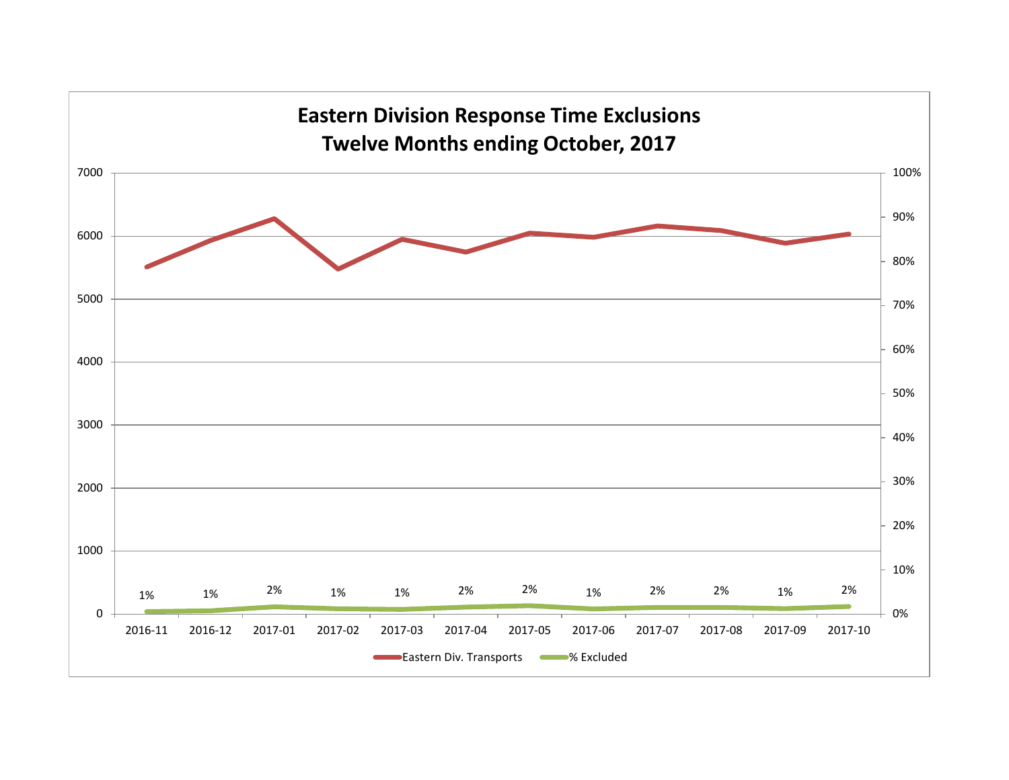